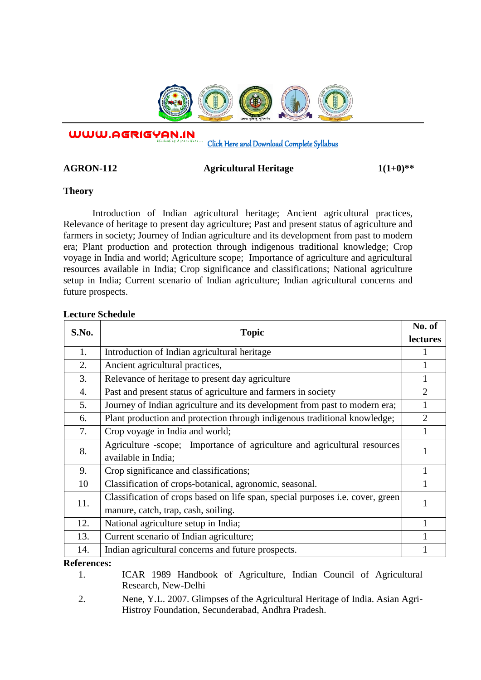

WWW.AGRIGYAN.IN

[Click Here and Download Complete Syllabus](http://agrigyan.in/) 

AGRON-112 **Agricultural Heritage** 1(1+0)<sup>\*\*</sup>

**Theory** 

 $\overline{a}$ 

Introduction of Indian agricultural heritage; Ancient agricultural practices, Relevance of heritage to present day agriculture; Past and present status of agriculture and farmers in society; Journey of Indian agriculture and its development from past to modern era; Plant production and protection through indigenous traditional knowledge; Crop voyage in India and world; Agriculture scope; Importance of agriculture and agricultural resources available in India; Crop significance and classifications; National agriculture setup in India; Current scenario of Indian agriculture; Indian agricultural concerns and future prospects.

## **Lecture Schedule**

| S.No.                                                         | <b>Topic</b>                                                                          | No. of         |
|---------------------------------------------------------------|---------------------------------------------------------------------------------------|----------------|
|                                                               |                                                                                       | lectures       |
| 1.                                                            | Introduction of Indian agricultural heritage                                          |                |
| 2.                                                            | Ancient agricultural practices,                                                       |                |
| 3.                                                            | Relevance of heritage to present day agriculture                                      |                |
| 4.                                                            | Past and present status of agriculture and farmers in society                         | $\overline{2}$ |
| 5.                                                            | Journey of Indian agriculture and its development from past to modern era;            |                |
| 6.                                                            | Plant production and protection through indigenous traditional knowledge;             | $\overline{2}$ |
| 7.                                                            | Crop voyage in India and world;                                                       | 1              |
| 8.                                                            | Agriculture -scope; Importance of agriculture and agricultural resources              | 1              |
|                                                               | available in India;                                                                   |                |
| 9.                                                            | Crop significance and classifications;                                                | 1              |
| 10                                                            | Classification of crops-botanical, agronomic, seasonal.                               |                |
| 11.                                                           | Classification of crops based on life span, special purposes <i>i.e.</i> cover, green |                |
|                                                               | manure, catch, trap, cash, soiling.                                                   |                |
| 12.                                                           | National agriculture setup in India;                                                  |                |
| 13.                                                           | Current scenario of Indian agriculture;                                               |                |
| 14.                                                           | Indian agricultural concerns and future prospects.                                    |                |
| $\mathbf{D} \cdot \mathbf{f} \cdot \mathbf{L}$<br>$- - - - -$ |                                                                                       |                |

**References:** 

1. ICAR 1989 Handbook of Agriculture, Indian Council of Agricultural Research, New-Delhi

2. Nene, Y.L. 2007. Glimpses of the Agricultural Heritage of India. Asian Agri-Histroy Foundation, Secunderabad, Andhra Pradesh.